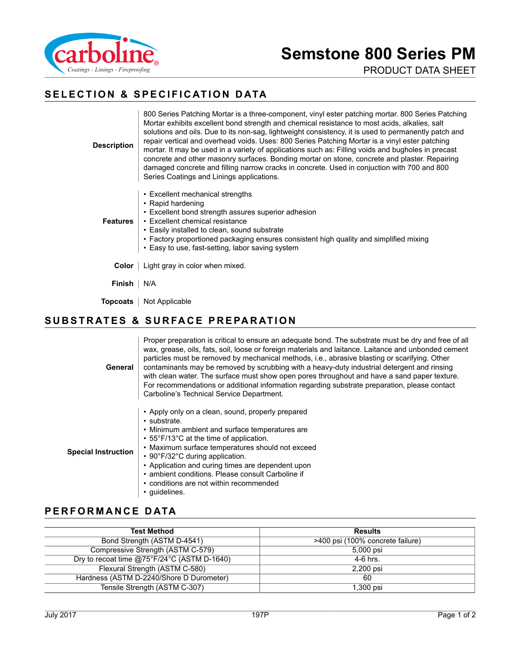

PRODUCT DATA SHEET

# **SELECTION & SPECIFICATION DATA**

**Description** 800 Series Patching Mortar is a three-component, vinyl ester patching mortar. 800 Series Patching Mortar exhibits excellent bond strength and chemical resistance to most acids, alkalies, salt solutions and oils. Due to its non-sag, lightweight consistency, it is used to permanently patch and repair vertical and overhead voids. Uses: 800 Series Patching Mortar is a vinyl ester patching mortar. It may be used in a variety of applications such as: Filling voids and bugholes in precast concrete and other masonry surfaces. Bonding mortar on stone, concrete and plaster. Repairing damaged concrete and filling narrow cracks in concrete. Used in conjuction with 700 and 800 Series Coatings and Linings applications.

- Excellent mechanical strengths
- Rapid hardening
- Excellent bond strength assures superior adhesion

**Features** • Excellent chemical resistance

- Easily installed to clean, sound substrate
- Factory proportioned packaging ensures consistent high quality and simplified mixing
- Easy to use, fast-setting, labor saving system

**Color** | Light gray in color when mixed.

**Finish** | N/A

**Topcoats** | Not Applicable

### **SUBSTRATES & SURFACE PREPARATION**

| General                    | Proper preparation is critical to ensure an adequate bond. The substrate must be dry and free of all<br>wax, grease, oils, fats, soil, loose or foreign materials and laitance. Laitance and unbonded cement<br>particles must be removed by mechanical methods, i.e., abrasive blasting or scarifying. Other<br>contaminants may be removed by scrubbing with a heavy-duty industrial detergent and rinsing<br>with clean water. The surface must show open pores throughout and have a sand paper texture.<br>For recommendations or additional information regarding substrate preparation, please contact<br>Carboline's Technical Service Department. |
|----------------------------|------------------------------------------------------------------------------------------------------------------------------------------------------------------------------------------------------------------------------------------------------------------------------------------------------------------------------------------------------------------------------------------------------------------------------------------------------------------------------------------------------------------------------------------------------------------------------------------------------------------------------------------------------------|
| <b>Special Instruction</b> | • Apply only on a clean, sound, properly prepared<br>• substrate.<br>• Minimum ambient and surface temperatures are<br>• 55°F/13°C at the time of application.<br>• Maximum surface temperatures should not exceed<br>• 90°F/32°C during application.<br>• Application and curing times are dependent upon<br>• ambient conditions. Please consult Carboline if<br>• conditions are not within recommended<br>• quidelines.                                                                                                                                                                                                                                |

## **PERFORMANCE DATA**

| <b>Test Method</b>                          | <b>Results</b>                   |
|---------------------------------------------|----------------------------------|
| Bond Strength (ASTM D-4541)                 | >400 psi (100% concrete failure) |
| Compressive Strength (ASTM C-579)           | 5,000 psi                        |
| Dry to recoat time @75°F/24°C (ASTM D-1640) | 4-6 hrs.                         |
| Flexural Strength (ASTM C-580)              | 2,200 psi                        |
| Hardness (ASTM D-2240/Shore D Durometer)    | 60                               |
| Tensile Strength (ASTM C-307)               | 1.300 psi                        |